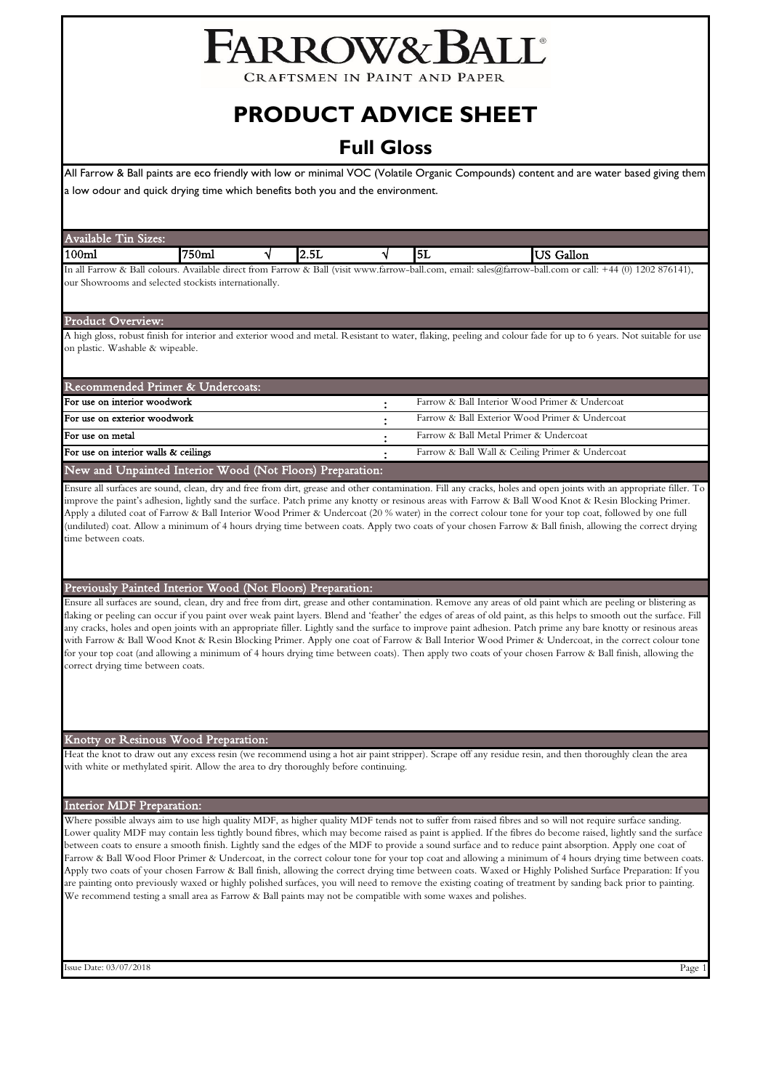# FARROW&BALL

CRAFTSMEN IN PAINT AND PAPER

# **PRODUCT ADVICE SHEET**

# **Full Gloss**

All Farrow & Ball paints are eco friendly with low or minimal VOC (Volatile Organic Compounds) content and are water based giving them a low odour and quick drying time which benefits both you and the environment.

| Avai<br>im<br>Sizes:<br>11able                                                                                          |       |              |           |                                                                                                                              |
|-------------------------------------------------------------------------------------------------------------------------|-------|--------------|-----------|------------------------------------------------------------------------------------------------------------------------------|
| 100 <sub>ml</sub>                                                                                                       | '750m | . .<br>14.JL | Ш.<br>╹┙┶ | Gallon                                                                                                                       |
| $\mathbf{L}_{\alpha}$ all Eagances $\mathbf{v} \cdot \mathbf{D}_{\alpha} \mathbf{H}_{\alpha}$ and $\mathbf{L}_{\alpha}$ |       |              |           | Arribble dinest from Experts & Dell (visit muns from the bell come angul celse@fromew hell come on cally +44 (0) 1909 976141 |

im Farrow & Ball (visit www.farrow-ball.com, email: sal our Showrooms and selected stockists internationally.

#### Product Overview:

A high gloss, robust finish for interior and exterior wood and metal. Resistant to water, flaking, peeling and colour fade for up to 6 years. Not suitable for use on plastic. Washable & wipeable.

| Recommended Primer & Undercoats:                          |  |                                                 |  |  |  |
|-----------------------------------------------------------|--|-------------------------------------------------|--|--|--|
| For use on interior woodwork                              |  | Farrow & Ball Interior Wood Primer & Undercoat  |  |  |  |
| For use on exterior woodwork                              |  | Farrow & Ball Exterior Wood Primer & Undercoat  |  |  |  |
| For use on metal                                          |  | Farrow & Ball Metal Primer & Undercoat          |  |  |  |
| For use on interior walls & ceilings                      |  | Farrow & Ball Wall & Ceiling Primer & Undercoat |  |  |  |
| New and Unpainted Interior Wood (Not Floors) Preparation: |  |                                                 |  |  |  |

Ensure all surfaces are sound, clean, dry and free from dirt, grease and other contamination. Fill any cracks, holes and open joints with an appropriate filler. To improve the paint's adhesion, lightly sand the surface. Patch prime any knotty or resinous areas with Farrow & Ball Wood Knot & Resin Blocking Primer. Apply a diluted coat of Farrow & Ball Interior Wood Primer & Undercoat (20 % water) in the correct colour tone for your top coat, followed by one full (undiluted) coat. Allow a minimum of 4 hours drying time between coats. Apply two coats of your chosen Farrow & Ball finish, allowing the correct drying time between coats.

# Previously Painted Interior Wood (Not Floors) Preparation:

Ensure all surfaces are sound, clean, dry and free from dirt, grease and other contamination. Remove any areas of old paint which are peeling or blistering as flaking or peeling can occur if you paint over weak paint layers. Blend and 'feather' the edges of areas of old paint, as this helps to smooth out the surface. Fill any cracks, holes and open joints with an appropriate filler. Lightly sand the surface to improve paint adhesion. Patch prime any bare knotty or resinous areas with Farrow & Ball Wood Knot & Resin Blocking Primer. Apply one coat of Farrow & Ball Interior Wood Primer & Undercoat, in the correct colour tone for your top coat (and allowing a minimum of 4 hours drying time between coats). Then apply two coats of your chosen Farrow & Ball finish, allowing the correct drying time between coats.

# Knotty or Resinous Wood Preparation:

Heat the knot to draw out any excess resin (we recommend using a hot air paint stripper). Scrape off any residue resin, and then thoroughly clean the area with white or methylated spirit. Allow the area to dry thoroughly before continuing.

#### Interior MDF Preparation:

Where possible always aim to use high quality MDF, as higher quality MDF tends not to suffer from raised fibres and so will not require surface sanding. Lower quality MDF may contain less tightly bound fibres, which may become raised as paint is applied. If the fibres do become raised, lightly sand the surface between coats to ensure a smooth finish. Lightly sand the edges of the MDF to provide a sound surface and to reduce paint absorption. Apply one coat of Farrow & Ball Wood Floor Primer & Undercoat, in the correct colour tone for your top coat and allowing a minimum of 4 hours drying time between coats. Apply two coats of your chosen Farrow & Ball finish, allowing the correct drying time between coats. Waxed or Highly Polished Surface Preparation: If you are painting onto previously waxed or highly polished surfaces, you will need to remove the existing coating of treatment by sanding back prior to painting. We recommend testing a small area as Farrow & Ball paints may not be compatible with some waxes and polishes.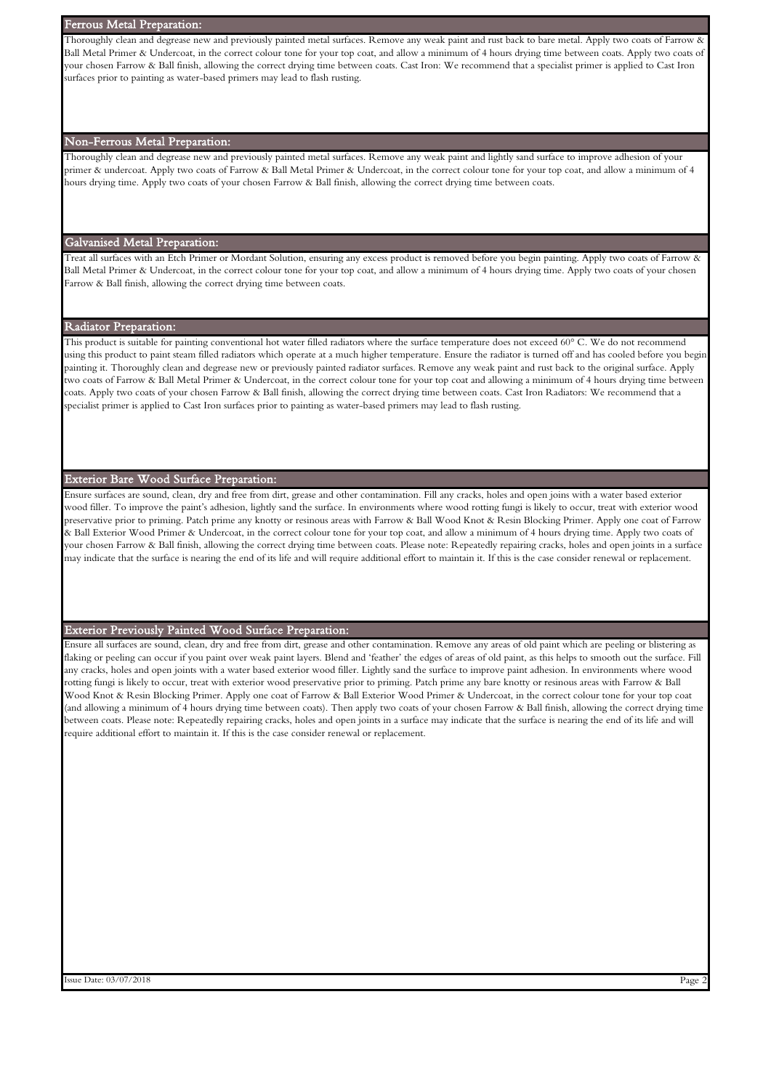# Ferrous Metal Preparation:

Thoroughly clean and degrease new and previously painted metal surfaces. Remove any weak paint and rust back to bare metal. Apply two coats of Farrow  $\alpha$ Ball Metal Primer & Undercoat, in the correct colour tone for your top coat, and allow a minimum of 4 hours drying time between coats. Apply two coats of your chosen Farrow & Ball finish, allowing the correct drying time between coats. Cast Iron: We recommend that a specialist primer is applied to Cast Iron surfaces prior to painting as water-based primers may lead to flash rusting.

#### Non-Ferrous Metal Preparation:

Thoroughly clean and degrease new and previously painted metal surfaces. Remove any weak paint and lightly sand surface to improve adhesion of your primer & undercoat. Apply two coats of Farrow & Ball Metal Primer & Undercoat, in the correct colour tone for your top coat, and allow a minimum of 4 hours drying time. Apply two coats of your chosen Farrow & Ball finish, allowing the correct drying time between coats.

# Galvanised Metal Preparation:

Treat all surfaces with an Etch Primer or Mordant Solution, ensuring any excess product is removed before you begin painting. Apply two coats of Farrow & Ball Metal Primer & Undercoat, in the correct colour tone for your top coat, and allow a minimum of 4 hours drying time. Apply two coats of your chosen Farrow & Ball finish, allowing the correct drying time between coats.

# Radiator Preparation:

This product is suitable for painting conventional hot water filled radiators where the surface temperature does not exceed 60° C. We do not recommend using this product to paint steam filled radiators which operate at a much higher temperature. Ensure the radiator is turned off and has cooled before you begin painting it. Thoroughly clean and degrease new or previously painted radiator surfaces. Remove any weak paint and rust back to the original surface. Apply two coats of Farrow & Ball Metal Primer & Undercoat, in the correct colour tone for your top coat and allowing a minimum of 4 hours drying time between coats. Apply two coats of your chosen Farrow & Ball finish, allowing the correct drying time between coats. Cast Iron Radiators: We recommend that a specialist primer is applied to Cast Iron surfaces prior to painting as water-based primers may lead to flash rusting.

# Exterior Bare Wood Surface Preparation:

Ensure surfaces are sound, clean, dry and free from dirt, grease and other contamination. Fill any cracks, holes and open joins with a water based exterior wood filler. To improve the paint's adhesion, lightly sand the surface. In environments where wood rotting fungi is likely to occur, treat with exterior wood preservative prior to priming. Patch prime any knotty or resinous areas with Farrow & Ball Wood Knot & Resin Blocking Primer. Apply one coat of Farrow & Ball Exterior Wood Primer & Undercoat, in the correct colour tone for your top coat, and allow a minimum of 4 hours drying time. Apply two coats of your chosen Farrow & Ball finish, allowing the correct drying time between coats. Please note: Repeatedly repairing cracks, holes and open joints in a surface may indicate that the surface is nearing the end of its life and will require additional effort to maintain it. If this is the case consider renewal or replacement.

# Exterior Previously Painted Wood Surface Preparation:

Ensure all surfaces are sound, clean, dry and free from dirt, grease and other contamination. Remove any areas of old paint which are peeling or blistering as flaking or peeling can occur if you paint over weak paint layers. Blend and 'feather' the edges of areas of old paint, as this helps to smooth out the surface. Fill any cracks, holes and open joints with a water based exterior wood filler. Lightly sand the surface to improve paint adhesion. In environments where wood rotting fungi is likely to occur, treat with exterior wood preservative prior to priming. Patch prime any bare knotty or resinous areas with Farrow & Ball Wood Knot & Resin Blocking Primer. Apply one coat of Farrow & Ball Exterior Wood Primer & Undercoat, in the correct colour tone for your top coat (and allowing a minimum of 4 hours drying time between coats). Then apply two coats of your chosen Farrow & Ball finish, allowing the correct drying time between coats. Please note: Repeatedly repairing cracks, holes and open joints in a surface may indicate that the surface is nearing the end of its life and will require additional effort to maintain it. If this is the case consider renewal or replacement.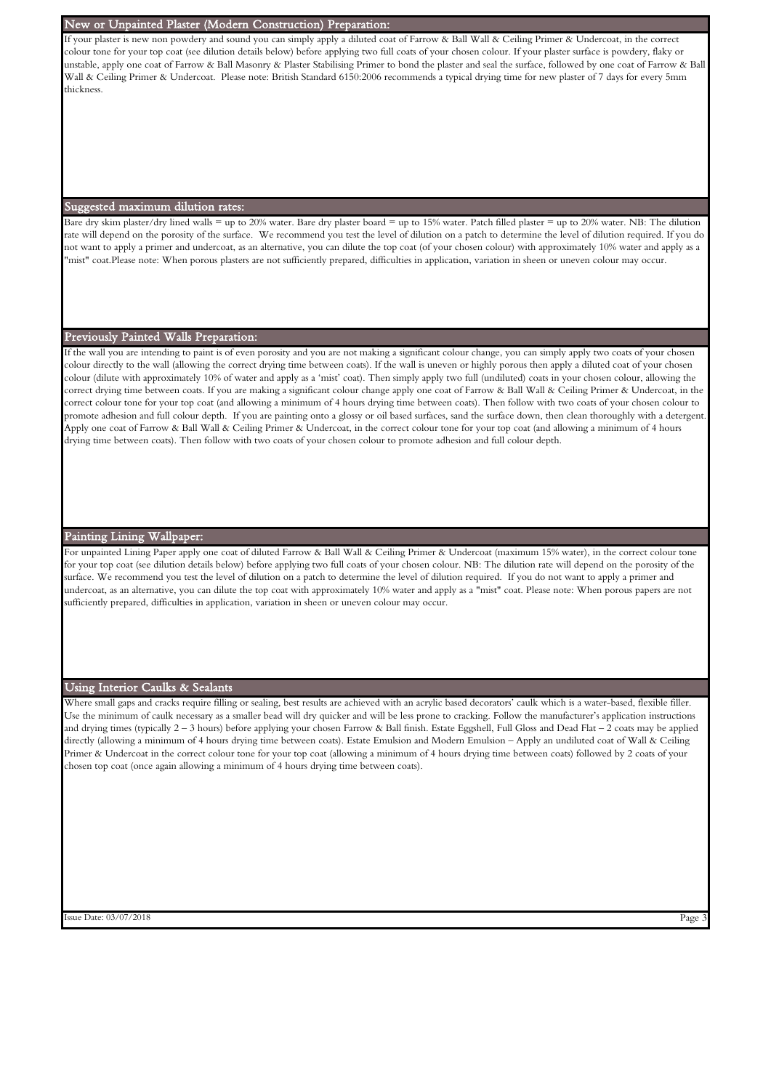#### New or Unpainted Plaster (Modern Construction) Preparation:

If your plaster is new non powdery and sound you can simply apply a diluted coat of Farrow & Ball Wall & Ceiling Primer & Undercoat, in the correct colour tone for your top coat (see dilution details below) before applying two full coats of your chosen colour. If your plaster surface is powdery, flaky or unstable, apply one coat of Farrow & Ball Masonry & Plaster Stabilising Primer to bond the plaster and seal the surface, followed by one coat of Farrow & Ball Wall & Ceiling Primer & Undercoat. Please note: British Standard 6150:2006 recommends a typical drying time for new plaster of 7 days for every 5mm thickness.

#### Suggested maximum dilution rates:

Bare dry skim plaster/dry lined walls = up to 20% water. Bare dry plaster board = up to 15% water. Patch filled plaster = up to 20% water. NB: The dilution rate will depend on the porosity of the surface. We recommend you test the level of dilution on a patch to determine the level of dilution required. If you do not want to apply a primer and undercoat, as an alternative, you can dilute the top coat (of your chosen colour) with approximately 10% water and apply as a "mist" coat.Please note: When porous plasters are not sufficiently prepared, difficulties in application, variation in sheen or uneven colour may occur.

#### Previously Painted Walls Preparation:

If the wall you are intending to paint is of even porosity and you are not making a significant colour change, you can simply apply two coats of your chosen colour directly to the wall (allowing the correct drying time between coats). If the wall is uneven or highly porous then apply a diluted coat of your chosen colour (dilute with approximately 10% of water and apply as a 'mist' coat). Then simply apply two full (undiluted) coats in your chosen colour, allowing the correct drying time between coats. If you are making a significant colour change apply one coat of Farrow & Ball Wall & Ceiling Primer & Undercoat, in the correct colour tone for your top coat (and allowing a minimum of 4 hours drying time between coats). Then follow with two coats of your chosen colour to promote adhesion and full colour depth. If you are painting onto a glossy or oil based surfaces, sand the surface down, then clean thoroughly with a detergent. Apply one coat of Farrow & Ball Wall & Ceiling Primer & Undercoat, in the correct colour tone for your top coat (and allowing a minimum of 4 hours drying time between coats). Then follow with two coats of your chosen colour to promote adhesion and full colour depth.

### Painting Lining Wallpaper:

For unpainted Lining Paper apply one coat of diluted Farrow & Ball Wall & Ceiling Primer & Undercoat (maximum 15% water), in the correct colour tone for your top coat (see dilution details below) before applying two full coats of your chosen colour. NB: The dilution rate will depend on the porosity of the surface. We recommend you test the level of dilution on a patch to determine the level of dilution required. If you do not want to apply a primer and undercoat, as an alternative, you can dilute the top coat with approximately 10% water and apply as a "mist" coat. Please note: When porous papers are not sufficiently prepared, difficulties in application, variation in sheen or uneven colour may occur.

#### Using Interior Caulks & Sealants

Where small gaps and cracks require filling or sealing, best results are achieved with an acrylic based decorators' caulk which is a water-based, flexible filler. Use the minimum of caulk necessary as a smaller bead will dry quicker and will be less prone to cracking. Follow the manufacturer's application instructions and drying times (typically 2 – 3 hours) before applying your chosen Farrow & Ball finish. Estate Eggshell, Full Gloss and Dead Flat – 2 coats may be applied directly (allowing a minimum of 4 hours drying time between coats). Estate Emulsion and Modern Emulsion – Apply an undiluted coat of Wall & Ceiling Primer & Undercoat in the correct colour tone for your top coat (allowing a minimum of 4 hours drying time between coats) followed by 2 coats of your chosen top coat (once again allowing a minimum of 4 hours drying time between coats).

Issue Date: 03/07/2018 Page 3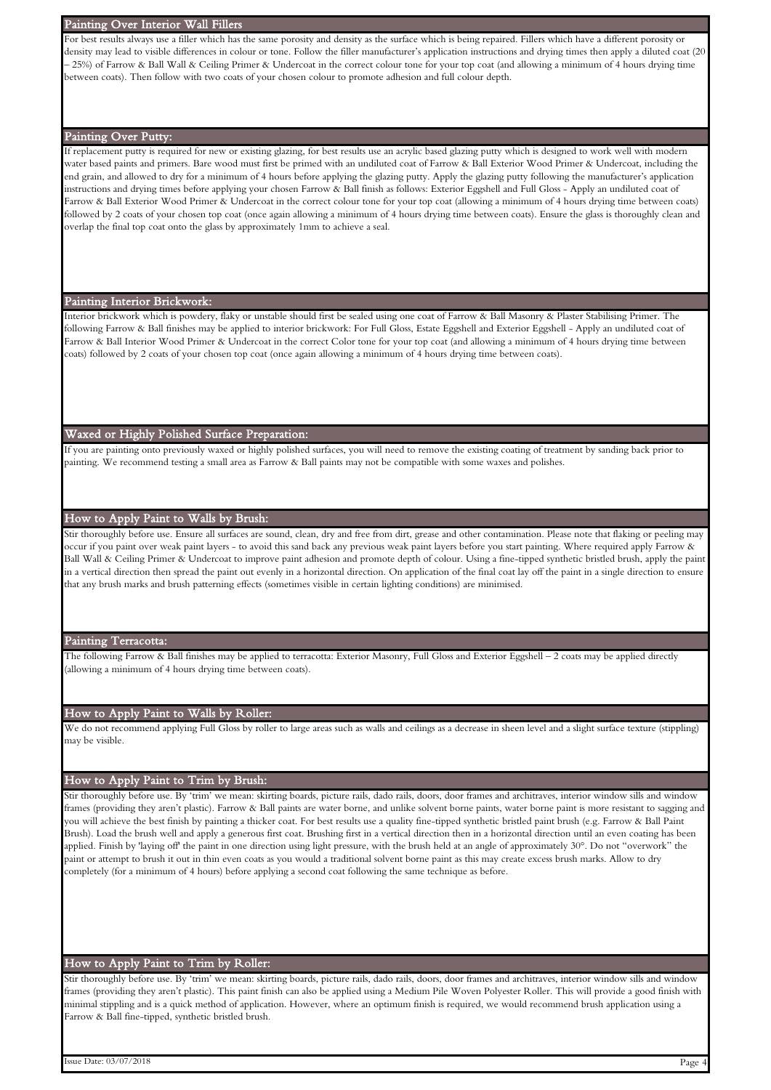#### Painting Over Interior Wall Fillers

For best results always use a filler which has the same porosity and density as the surface which is being repaired. Fillers which have a different porosity or density may lead to visible differences in colour or tone. Follow the filler manufacturer's application instructions and drying times then apply a diluted coat (20 – 25%) of Farrow & Ball Wall & Ceiling Primer & Undercoat in the correct colour tone for your top coat (and allowing a minimum of 4 hours drying time between coats). Then follow with two coats of your chosen colour to promote adhesion and full colour depth.

# Painting Over Putty:

If replacement putty is required for new or existing glazing, for best results use an acrylic based glazing putty which is designed to work well with modern water based paints and primers. Bare wood must first be primed with an undiluted coat of Farrow & Ball Exterior Wood Primer & Undercoat, including the end grain, and allowed to dry for a minimum of 4 hours before applying the glazing putty. Apply the glazing putty following the manufacturer's application instructions and drying times before applying your chosen Farrow & Ball finish as follows: Exterior Eggshell and Full Gloss - Apply an undiluted coat of Farrow & Ball Exterior Wood Primer & Undercoat in the correct colour tone for your top coat (allowing a minimum of 4 hours drying time between coats) followed by 2 coats of your chosen top coat (once again allowing a minimum of 4 hours drying time between coats). Ensure the glass is thoroughly clean and overlap the final top coat onto the glass by approximately 1mm to achieve a seal.

#### Painting Interior Brickwork:

Interior brickwork which is powdery, flaky or unstable should first be sealed using one coat of Farrow & Ball Masonry & Plaster Stabilising Primer. The following Farrow & Ball finishes may be applied to interior brickwork: For Full Gloss, Estate Eggshell and Exterior Eggshell - Apply an undiluted coat of Farrow & Ball Interior Wood Primer & Undercoat in the correct Color tone for your top coat (and allowing a minimum of 4 hours drying time between coats) followed by 2 coats of your chosen top coat (once again allowing a minimum of 4 hours drying time between coats).

#### Waxed or Highly Polished Surface Preparation:

If you are painting onto previously waxed or highly polished surfaces, you will need to remove the existing coating of treatment by sanding back prior to painting. We recommend testing a small area as Farrow & Ball paints may not be compatible with some waxes and polishes.

# How to Apply Paint to Walls by Brush:

Stir thoroughly before use. Ensure all surfaces are sound, clean, dry and free from dirt, grease and other contamination. Please note that flaking or peeling may occur if you paint over weak paint layers - to avoid this sand back any previous weak paint layers before you start painting. Where required apply Farrow & Ball Wall & Ceiling Primer & Undercoat to improve paint adhesion and promote depth of colour. Using a fine-tipped synthetic bristled brush, apply the pain in a vertical direction then spread the paint out evenly in a horizontal direction. On application of the final coat lay off the paint in a single direction to ensure that any brush marks and brush patterning effects (sometimes visible in certain lighting conditions) are minimised.

#### Painting Terracotta:

The following Farrow & Ball finishes may be applied to terracotta: Exterior Masonry, Full Gloss and Exterior Eggshell – 2 coats may be applied directly (allowing a minimum of 4 hours drying time between coats).

#### How to Apply Paint to Walls by Roller:

We do not recommend applying Full Gloss by roller to large areas such as walls and ceilings as a decrease in sheen level and a slight surface texture (stippling) may be visible.

#### How to Apply Paint to Trim by Brush:

Stir thoroughly before use. By 'trim' we mean: skirting boards, picture rails, dado rails, doors, door frames and architraves, interior window sills and window frames (providing they aren't plastic). Farrow & Ball paints are water borne, and unlike solvent borne paints, water borne paint is more resistant to sagging and you will achieve the best finish by painting a thicker coat. For best results use a quality fine-tipped synthetic bristled paint brush (e.g. Farrow & Ball Paint Brush). Load the brush well and apply a generous first coat. Brushing first in a vertical direction then in a horizontal direction until an even coating has been applied. Finish by 'laying off' the paint in one direction using light pressure, with the brush held at an angle of approximately 30°. Do not "overwork" the paint or attempt to brush it out in thin even coats as you would a traditional solvent borne paint as this may create excess brush marks. Allow to dry completely (for a minimum of 4 hours) before applying a second coat following the same technique as before.

### How to Apply Paint to Trim by Roller:

Stir thoroughly before use. By 'trim' we mean: skirting boards, picture rails, dado rails, doors, door frames and architraves, interior window sills and window frames (providing they aren't plastic). This paint finish can also be applied using a Medium Pile Woven Polyester Roller. This will provide a good finish with minimal stippling and is a quick method of application. However, where an optimum finish is required, we would recommend brush application using a Farrow & Ball fine-tipped, synthetic bristled brush.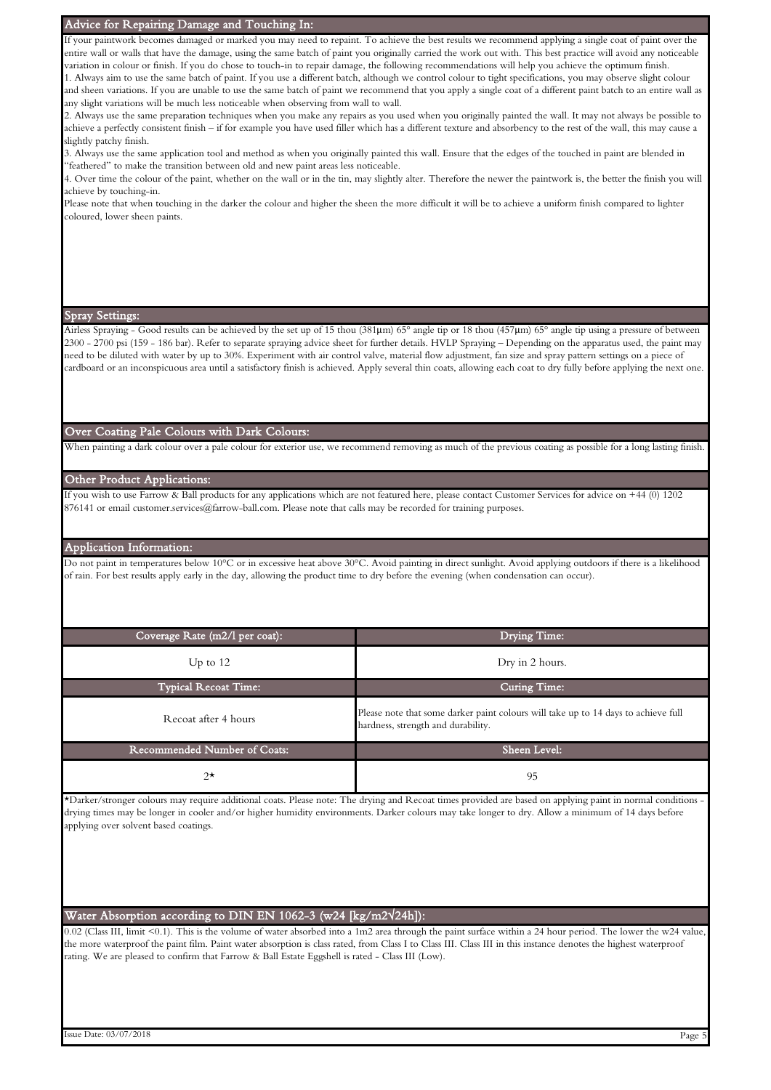# Advice for Repairing Damage and Touching In:

If your paintwork becomes damaged or marked you may need to repaint. To achieve the best results we recommend applying a single coat of paint over the entire wall or walls that have the damage, using the same batch of paint you originally carried the work out with. This best practice will avoid any noticeable variation in colour or finish. If you do chose to touch-in to repair damage, the following recommendations will help you achieve the optimum finish.

1. Always aim to use the same batch of paint. If you use a different batch, although we control colour to tight specifications, you may observe slight colour and sheen variations. If you are unable to use the same batch of paint we recommend that you apply a single coat of a different paint batch to an entire wall as any slight variations will be much less noticeable when observing from wall to wall.

2. Always use the same preparation techniques when you make any repairs as you used when you originally painted the wall. It may not always be possible to achieve a perfectly consistent finish – if for example you have used filler which has a different texture and absorbency to the rest of the wall, this may cause a slightly patchy finish.

3. Always use the same application tool and method as when you originally painted this wall. Ensure that the edges of the touched in paint are blended in "feathered" to make the transition between old and new paint areas less noticeable.

4. Over time the colour of the paint, whether on the wall or in the tin, may slightly alter. Therefore the newer the paintwork is, the better the finish you will achieve by touching-in.

Please note that when touching in the darker the colour and higher the sheen the more difficult it will be to achieve a uniform finish compared to lighter coloured, lower sheen paints.

#### Spray Settings:

Airless Spraying - Good results can be achieved by the set up of 15 thou (381µm) 65° angle tip or 18 thou (457µm) 65° angle tip using a pressure of between 2300 - 2700 psi (159 - 186 bar). Refer to separate spraying advice sheet for further details. HVLP Spraying – Depending on the apparatus used, the paint may need to be diluted with water by up to 30%. Experiment with air control valve, material flow adjustment, fan size and spray pattern settings on a piece of cardboard or an inconspicuous area until a satisfactory finish is achieved. Apply several thin coats, allowing each coat to dry fully before applying the next one.

#### Over Coating Pale Colours with Dark Colours:

When painting a dark colour over a pale colour for exterior use, we recommend removing as much of the previous coating as possible for a long lasting finish

# Other Product Applications:

If you wish to use Farrow & Ball products for any applications which are not featured here, please contact Customer Services for advice on +44 (0) 1202 876141 or email customer.services@farrow-ball.com. Please note that calls may be recorded for training purposes.

#### Application Information:

Do not paint in temperatures below 10°C or in excessive heat above 30°C. Avoid painting in direct sunlight. Avoid applying outdoors if there is a likelihood of rain. For best results apply early in the day, allowing the product time to dry before the evening (when condensation can occur).

| Coverage Rate (m2/l per coat):      | Drying Time:                                                                                                             |  |  |  |
|-------------------------------------|--------------------------------------------------------------------------------------------------------------------------|--|--|--|
| Up to $12$                          | Dry in 2 hours.                                                                                                          |  |  |  |
| <b>Typical Recoat Time:</b>         | <b>Curing Time:</b>                                                                                                      |  |  |  |
| Recoat after 4 hours                | Please note that some darker paint colours will take up to 14 days to achieve full<br>hardness, strength and durability. |  |  |  |
| <b>Recommended Number of Coats:</b> | Sheen Level:                                                                                                             |  |  |  |
| $2^{\star}$                         | 95                                                                                                                       |  |  |  |

\*Darker/stronger colours may require additional coats. Please note: The drying and Recoat times provided are based on applying paint in normal conditions drying times may be longer in cooler and/or higher humidity environments. Darker colours may take longer to dry. Allow a minimum of 14 days before applying over solvent based coatings.

# Water Absorption according to DIN EN 1062-3 (w24 [kg/m2√24h]):

0.02 (Class III, limit <0.1). This is the volume of water absorbed into a 1m2 area through the paint surface within a 24 hour period. The lower the w24 value, the more waterproof the paint film. Paint water absorption is class rated, from Class I to Class III. Class III in this instance denotes the highest waterproof rating. We are pleased to confirm that Farrow & Ball Estate Eggshell is rated - Class III (Low).